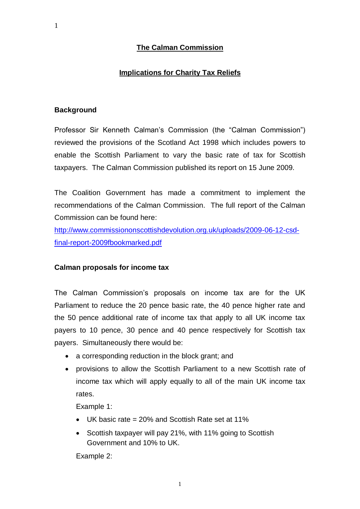# **The Calman Commission**

### **Implications for Charity Tax Reliefs**

#### **Background**

Professor Sir Kenneth Calman"s Commission (the "Calman Commission") reviewed the provisions of the Scotland Act 1998 which includes powers to enable the Scottish Parliament to vary the basic rate of tax for Scottish taxpayers. The Calman Commission published its report on 15 June 2009.

The Coalition Government has made a commitment to implement the recommendations of the Calman Commission. The full report of the Calman Commission can be found here:

[http://www.commissiononscottishdevolution.org.uk/uploads/2009-06-12-csd](http://www.commissiononscottishdevolution.org.uk/uploads/2009-06-12-csd-final-report-2009fbookmarked.pdf)[final-report-2009fbookmarked.pdf](http://www.commissiononscottishdevolution.org.uk/uploads/2009-06-12-csd-final-report-2009fbookmarked.pdf)

#### **Calman proposals for income tax**

The Calman Commission"s proposals on income tax are for the UK Parliament to reduce the 20 pence basic rate, the 40 pence higher rate and the 50 pence additional rate of income tax that apply to all UK income tax payers to 10 pence, 30 pence and 40 pence respectively for Scottish tax payers. Simultaneously there would be:

- a corresponding reduction in the block grant; and
- provisions to allow the Scottish Parliament to a new Scottish rate of income tax which will apply equally to all of the main UK income tax rates.

Example 1:

- UK basic rate = 20% and Scottish Rate set at 11%
- Scottish taxpayer will pay 21%, with 11% going to Scottish Government and 10% to UK.

Example 2: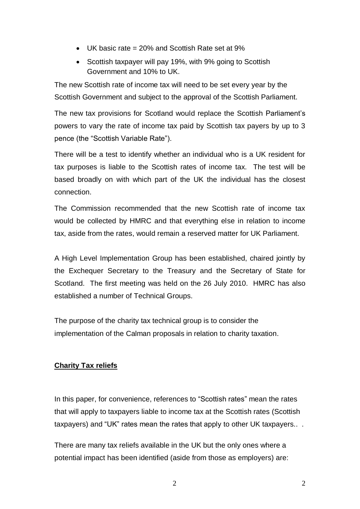- UK basic rate = 20% and Scottish Rate set at 9%
- Scottish taxpayer will pay 19%, with 9% going to Scottish Government and 10% to UK.

The new Scottish rate of income tax will need to be set every year by the Scottish Government and subject to the approval of the Scottish Parliament.

The new tax provisions for Scotland would replace the Scottish Parliament"s powers to vary the rate of income tax paid by Scottish tax payers by up to 3 pence (the "Scottish Variable Rate").

There will be a test to identify whether an individual who is a UK resident for tax purposes is liable to the Scottish rates of income tax. The test will be based broadly on with which part of the UK the individual has the closest connection.

The Commission recommended that the new Scottish rate of income tax would be collected by HMRC and that everything else in relation to income tax, aside from the rates, would remain a reserved matter for UK Parliament.

A High Level Implementation Group has been established, chaired jointly by the Exchequer Secretary to the Treasury and the Secretary of State for Scotland. The first meeting was held on the 26 July 2010. HMRC has also established a number of Technical Groups.

The purpose of the charity tax technical group is to consider the implementation of the Calman proposals in relation to charity taxation.

# **Charity Tax reliefs**

In this paper, for convenience, references to "Scottish rates" mean the rates that will apply to taxpayers liable to income tax at the Scottish rates (Scottish taxpayers) and "UK" rates mean the rates that apply to other UK taxpayers.. .

There are many tax reliefs available in the UK but the only ones where a potential impact has been identified (aside from those as employers) are: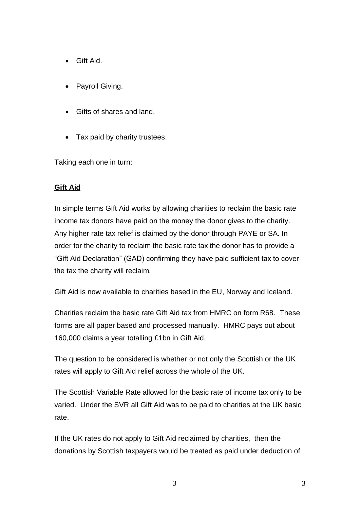- Gift Aid.
- Payroll Giving.
- Gifts of shares and land.
- Tax paid by charity trustees.

Taking each one in turn:

### **Gift Aid**

In simple terms Gift Aid works by allowing charities to reclaim the basic rate income tax donors have paid on the money the donor gives to the charity. Any higher rate tax relief is claimed by the donor through PAYE or SA. In order for the charity to reclaim the basic rate tax the donor has to provide a "Gift Aid Declaration" (GAD) confirming they have paid sufficient tax to cover the tax the charity will reclaim.

Gift Aid is now available to charities based in the EU, Norway and Iceland.

Charities reclaim the basic rate Gift Aid tax from HMRC on form R68. These forms are all paper based and processed manually. HMRC pays out about 160,000 claims a year totalling £1bn in Gift Aid.

The question to be considered is whether or not only the Scottish or the UK rates will apply to Gift Aid relief across the whole of the UK.

The Scottish Variable Rate allowed for the basic rate of income tax only to be varied. Under the SVR all Gift Aid was to be paid to charities at the UK basic rate.

If the UK rates do not apply to Gift Aid reclaimed by charities, then the donations by Scottish taxpayers would be treated as paid under deduction of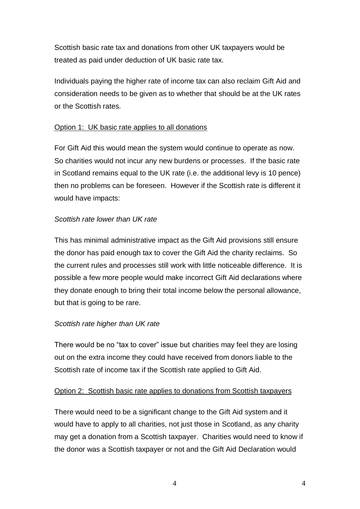Scottish basic rate tax and donations from other UK taxpayers would be treated as paid under deduction of UK basic rate tax.

Individuals paying the higher rate of income tax can also reclaim Gift Aid and consideration needs to be given as to whether that should be at the UK rates or the Scottish rates.

# Option 1: UK basic rate applies to all donations

For Gift Aid this would mean the system would continue to operate as now. So charities would not incur any new burdens or processes. If the basic rate in Scotland remains equal to the UK rate (i.e. the additional levy is 10 pence) then no problems can be foreseen. However if the Scottish rate is different it would have impacts:

# *Scottish rate lower than UK rate*

This has minimal administrative impact as the Gift Aid provisions still ensure the donor has paid enough tax to cover the Gift Aid the charity reclaims. So the current rules and processes still work with little noticeable difference. It is possible a few more people would make incorrect Gift Aid declarations where they donate enough to bring their total income below the personal allowance, but that is going to be rare.

# *Scottish rate higher than UK rate*

There would be no "tax to cover" issue but charities may feel they are losing out on the extra income they could have received from donors liable to the Scottish rate of income tax if the Scottish rate applied to Gift Aid.

### Option 2: Scottish basic rate applies to donations from Scottish taxpayers

There would need to be a significant change to the Gift Aid system and it would have to apply to all charities, not just those in Scotland, as any charity may get a donation from a Scottish taxpayer. Charities would need to know if the donor was a Scottish taxpayer or not and the Gift Aid Declaration would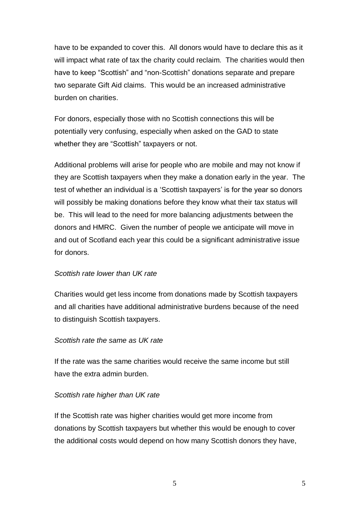have to be expanded to cover this. All donors would have to declare this as it will impact what rate of tax the charity could reclaim. The charities would then have to keep "Scottish" and "non-Scottish" donations separate and prepare two separate Gift Aid claims. This would be an increased administrative burden on charities.

For donors, especially those with no Scottish connections this will be potentially very confusing, especially when asked on the GAD to state whether they are "Scottish" taxpayers or not.

Additional problems will arise for people who are mobile and may not know if they are Scottish taxpayers when they make a donation early in the year. The test of whether an individual is a 'Scottish taxpayers' is for the year so donors will possibly be making donations before they know what their tax status will be. This will lead to the need for more balancing adjustments between the donors and HMRC. Given the number of people we anticipate will move in and out of Scotland each year this could be a significant administrative issue for donors.

### *Scottish rate lower than UK rate*

Charities would get less income from donations made by Scottish taxpayers and all charities have additional administrative burdens because of the need to distinguish Scottish taxpayers.

### *Scottish rate the same as UK rate*

If the rate was the same charities would receive the same income but still have the extra admin burden.

### *Scottish rate higher than UK rate*

If the Scottish rate was higher charities would get more income from donations by Scottish taxpayers but whether this would be enough to cover the additional costs would depend on how many Scottish donors they have,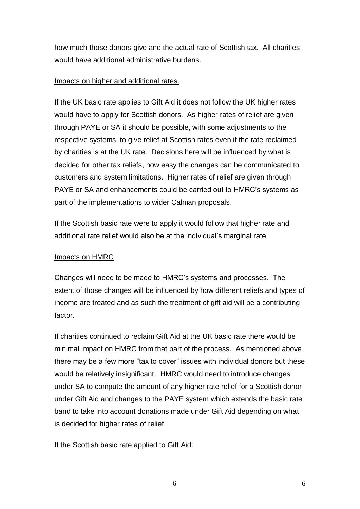how much those donors give and the actual rate of Scottish tax. All charities would have additional administrative burdens.

### Impacts on higher and additional rates.

If the UK basic rate applies to Gift Aid it does not follow the UK higher rates would have to apply for Scottish donors. As higher rates of relief are given through PAYE or SA it should be possible, with some adjustments to the respective systems, to give relief at Scottish rates even if the rate reclaimed by charities is at the UK rate. Decisions here will be influenced by what is decided for other tax reliefs, how easy the changes can be communicated to customers and system limitations. Higher rates of relief are given through PAYE or SA and enhancements could be carried out to HMRC"s systems as part of the implementations to wider Calman proposals.

If the Scottish basic rate were to apply it would follow that higher rate and additional rate relief would also be at the individual"s marginal rate.

### Impacts on HMRC

Changes will need to be made to HMRC"s systems and processes. The extent of those changes will be influenced by how different reliefs and types of income are treated and as such the treatment of gift aid will be a contributing factor.

If charities continued to reclaim Gift Aid at the UK basic rate there would be minimal impact on HMRC from that part of the process. As mentioned above there may be a few more "tax to cover" issues with individual donors but these would be relatively insignificant. HMRC would need to introduce changes under SA to compute the amount of any higher rate relief for a Scottish donor under Gift Aid and changes to the PAYE system which extends the basic rate band to take into account donations made under Gift Aid depending on what is decided for higher rates of relief.

If the Scottish basic rate applied to Gift Aid: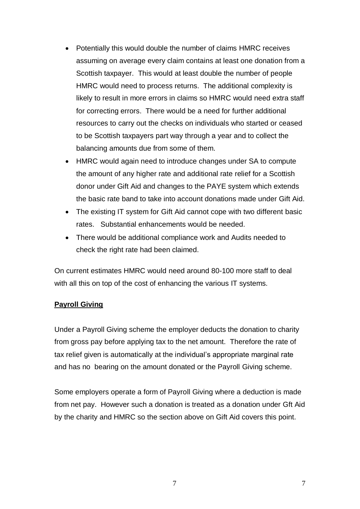- Potentially this would double the number of claims HMRC receives assuming on average every claim contains at least one donation from a Scottish taxpayer. This would at least double the number of people HMRC would need to process returns. The additional complexity is likely to result in more errors in claims so HMRC would need extra staff for correcting errors. There would be a need for further additional resources to carry out the checks on individuals who started or ceased to be Scottish taxpayers part way through a year and to collect the balancing amounts due from some of them.
- HMRC would again need to introduce changes under SA to compute the amount of any higher rate and additional rate relief for a Scottish donor under Gift Aid and changes to the PAYE system which extends the basic rate band to take into account donations made under Gift Aid.
- The existing IT system for Gift Aid cannot cope with two different basic rates. Substantial enhancements would be needed.
- There would be additional compliance work and Audits needed to check the right rate had been claimed.

On current estimates HMRC would need around 80-100 more staff to deal with all this on top of the cost of enhancing the various IT systems.

# **Payroll Giving**

Under a Payroll Giving scheme the employer deducts the donation to charity from gross pay before applying tax to the net amount. Therefore the rate of tax relief given is automatically at the individual"s appropriate marginal rate and has no bearing on the amount donated or the Payroll Giving scheme.

Some employers operate a form of Payroll Giving where a deduction is made from net pay. However such a donation is treated as a donation under Gft Aid by the charity and HMRC so the section above on Gift Aid covers this point.